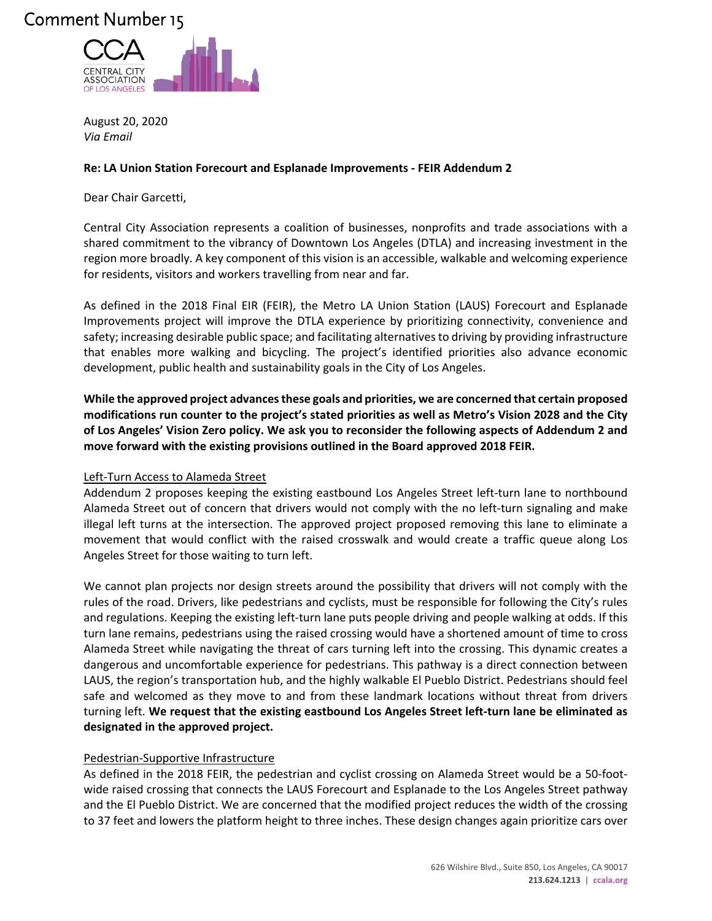## Comment Number 15



August 20, 2020 *Via Email*

## **Re: LA Union Station Forecourt and Esplanade Improvements - FEIR Addendum 2**

Dear Chair Garcetti,

Central City Association represents a coalition of businesses, nonprofits and trade associations with a shared commitment to the vibrancy of Downtown Los Angeles (DTLA) and increasing investment in the region more broadly. A key component of this vision is an accessible, walkable and welcoming experience for residents, visitors and workers travelling from near and far.

As defined in the 2018 Final EIR (FEIR), the Metro LA Union Station (LAUS) Forecourt and Esplanade Improvements project will improve the DTLA experience by prioritizing connectivity, convenience and safety; increasing desirable public space; and facilitating alternatives to driving by providing infrastructure that enables more walking and bicycling. The project's identified priorities also advance economic development, public health and sustainability goals in the City of Los Angeles.

**While the approved project advances these goals and priorities, we are concerned that certain proposed modifications run counter to the project's stated priorities as well as Metro's Vision 2028 and the City of Los Angeles' Vision Zero policy. We ask you to reconsider the following aspects of Addendum 2 and move forward with the existing provisions outlined in the Board approved 2018 FEIR.** 

## Left-Turn Access to Alameda Street

Addendum 2 proposes keeping the existing eastbound Los Angeles Street left-turn lane to northbound Alameda Street out of concern that drivers would not comply with the no left-turn signaling and make illegal left turns at the intersection. The approved project proposed removing this lane to eliminate a movement that would conflict with the raised crosswalk and would create a traffic queue along Los Angeles Street for those waiting to turn left.

We cannot plan projects nor design streets around the possibility that drivers will not comply with the rules of the road. Drivers, like pedestrians and cyclists, must be responsible for following the City's rules and regulations. Keeping the existing left-turn lane puts people driving and people walking at odds. If this turn lane remains, pedestrians using the raised crossing would have a shortened amount of time to cross Alameda Street while navigating the threat of cars turning left into the crossing. This dynamic creates a dangerous and uncomfortable experience for pedestrians. This pathway is a direct connection between LAUS, the region's transportation hub, and the highly walkable El Pueblo District. Pedestrians should feel safe and welcomed as they move to and from these landmark locations without threat from drivers turning left. **We request that the existing eastbound Los Angeles Street left-turn lane be eliminated as designated in the approved project.** 

## Pedestrian-Supportive Infrastructure

As defined in the 2018 FEIR, the pedestrian and cyclist crossing on Alameda Street would be a 50-footwide raised crossing that connects the LAUS Forecourt and Esplanade to the Los Angeles Street pathway and the El Pueblo District. We are concerned that the modified project reduces the width of the crossing to 37 feet and lowers the platform height to three inches. These design changes again prioritize cars over